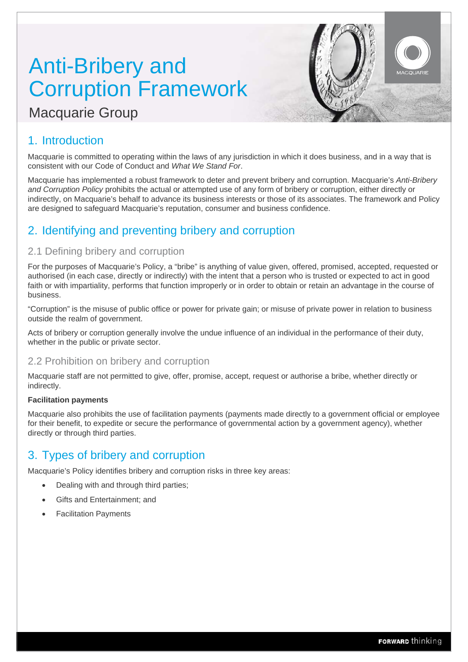# Anti-Bribery and Corruption Framework

# Macquarie Group

### 1. Introduction

Macquarie is committed to operating within the laws of any jurisdiction in which it does business, and in a way that is consistent with our Code of Conduct and *What We Stand For*.

Macquarie has implemented a robust framework to deter and prevent bribery and corruption. Macquarie's *Anti-Bribery and Corruption Policy* prohibits the actual or attempted use of any form of bribery or corruption, either directly or indirectly, on Macquarie's behalf to advance its business interests or those of its associates. The framework and Policy are designed to safeguard Macquarie's reputation, consumer and business confidence.

### 2. Identifying and preventing bribery and corruption

### 2.1 Defining bribery and corruption

For the purposes of Macquarie's Policy, a "bribe" is anything of value given, offered, promised, accepted, requested or authorised (in each case, directly or indirectly) with the intent that a person who is trusted or expected to act in good faith or with impartiality, performs that function improperly or in order to obtain or retain an advantage in the course of business.

"Corruption" is the misuse of public office or power for private gain; or misuse of private power in relation to business outside the realm of government.

Acts of bribery or corruption generally involve the undue influence of an individual in the performance of their duty, whether in the public or private sector.

### 2.2 Prohibition on bribery and corruption

Macquarie staff are not permitted to give, offer, promise, accept, request or authorise a bribe, whether directly or indirectly.

#### **Facilitation payments**

Macquarie also prohibits the use of facilitation payments (payments made directly to a government official or employee for their benefit, to expedite or secure the performance of governmental action by a government agency), whether directly or through third parties.

### 3. Types of bribery and corruption

Macquarie's Policy identifies bribery and corruption risks in three key areas:

- Dealing with and through third parties;
- Gifts and Entertainment; and
- Facilitation Payments